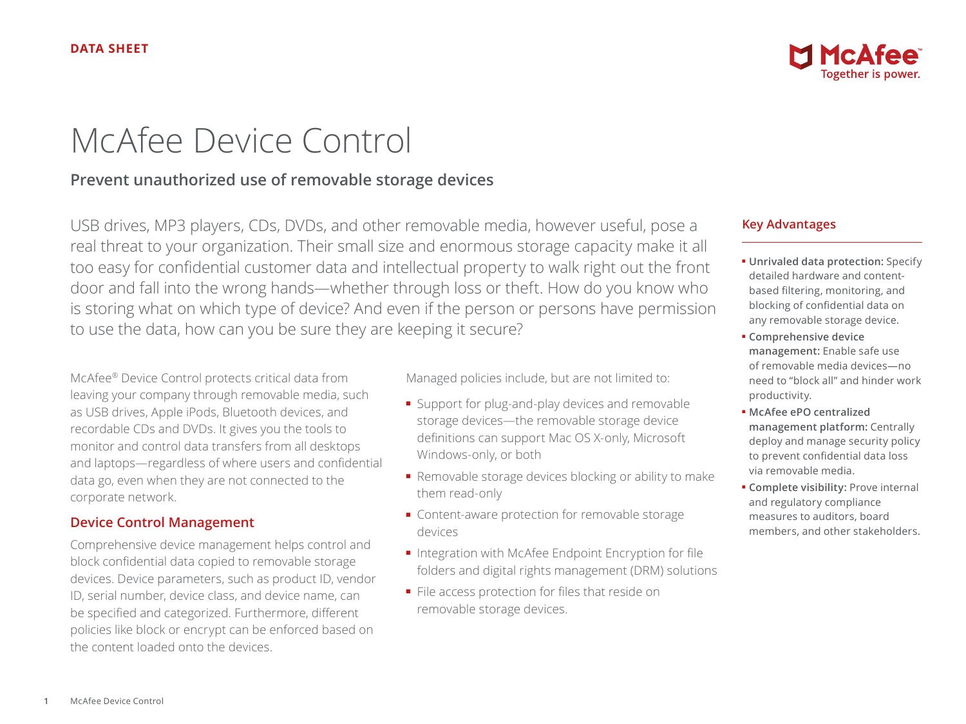

# McAfee Device Control

## **Prevent unauthorized use of removable storage devices**

USB drives, MP3 players, CDs, DVDs, and other removable media, however useful, pose a real threat to your organization. Their small size and enormous storage capacity make it all too easy for confidential customer data and intellectual property to walk right out the front door and fall into the wrong hands—whether through loss or theft. How do you know who is storing what on which type of device? And even if the person or persons have permission to use the data, how can you be sure they are keeping it secure?

McAfee® Device Control protects critical data from leaving your company through removable media, such as USB drives, Apple iPods, Bluetooth devices, and recordable CDs and DVDs. It gives you the tools to monitor and control data transfers from all desktops and laptops—regardless of where users and confidential data go, even when they are not connected to the corporate network.

## **Device Control Management**

Comprehensive device management helps control and block confidential data copied to removable storage devices. Device parameters, such as product ID, vendor ID, serial number, device class, and device name, can be specified and categorized. Furthermore, different policies like block or encrypt can be enforced based on the content loaded onto the devices.

Managed policies include, but are not limited to:

- Support for plug-and-play devices and removable storage devices—the removable storage device definitions can support Mac OS X-only, Microsoft Windows-only, or both
- Removable storage devices blocking or ability to make them read-only
- Content-aware protection for removable storage devices
- Integration with McAfee Endpoint Encryption for file folders and digital rights management (DRM) solutions
- File access protection for files that reside on removable storage devices.

## **Key Advantages**

- **Unrivaled data protection:** Specify detailed hardware and contentbased filtering, monitoring, and blocking of confidential data on any removable storage device.
- **Comprehensive device management:** Enable safe use of removable media devices—no need to "block all" and hinder work productivity.
- **McAfee ePO centralized management platform:** Centrally deploy and manage security policy to prevent confidential data loss via removable media.
- **Complete visibility:** Prove internal and regulatory compliance measures to auditors, board members, and other stakeholders.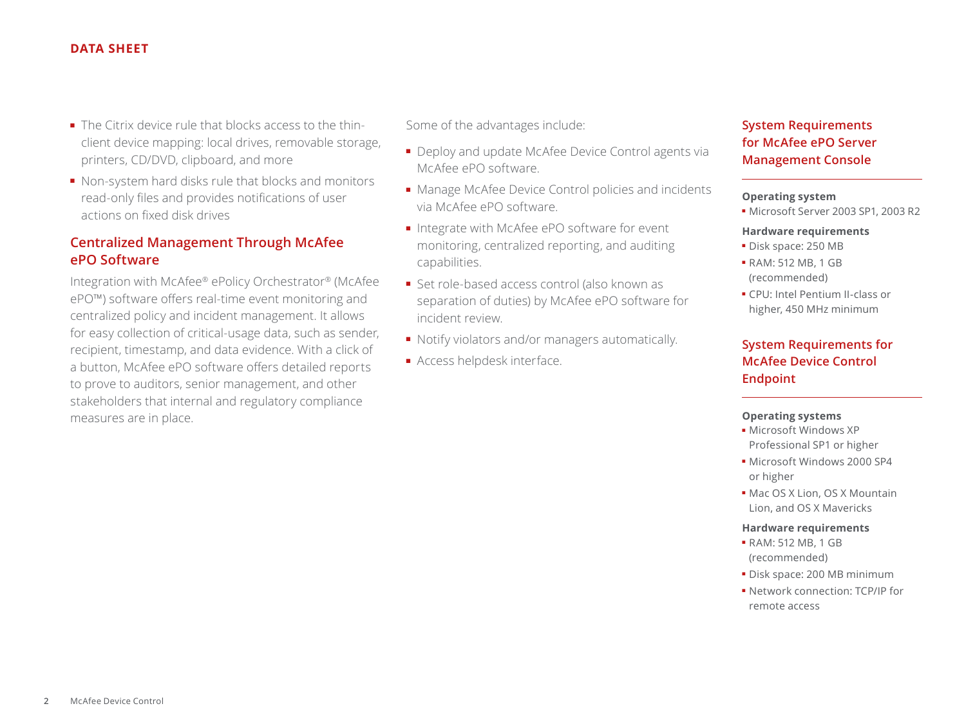### **DATA SHEET**

- The Citrix device rule that blocks access to the thinclient device mapping: local drives, removable storage, printers, CD/DVD, clipboard, and more
- Non-system hard disks rule that blocks and monitors read-only files and provides notifications of user actions on fixed disk drives

## **Centralized Management Through McAfee ePO Software**

Integration with McAfee® ePolicy Orchestrator® (McAfee ePO™) software offers real-time event monitoring and centralized policy and incident management. It allows for easy collection of critical-usage data, such as sender, recipient, timestamp, and data evidence. With a click of a button, McAfee ePO software offers detailed reports to prove to auditors, senior management, and other stakeholders that internal and regulatory compliance measures are in place.

Some of the advantages include:

- Deploy and update McAfee Device Control agents via McAfee ePO software.
- Manage McAfee Device Control policies and incidents via McAfee ePO software.
- Integrate with McAfee ePO software for event monitoring, centralized reporting, and auditing capabilities.
- Set role-based access control (also known as separation of duties) by McAfee ePO software for incident review.
- Notify violators and/or managers automatically.
- Access helpdesk interface.

## **System Requirements for McAfee ePO Server Management Console**

#### **Operating system**

■ Microsoft Server 2003 SP1, 2003 R2

#### **Hardware requirements**

- Disk space: 250 MB
- RAM: 512 MB, 1 GB (recommended)
- CPU: Intel Pentium II-class or higher, 450 MHz minimum

## **System Requirements for McAfee Device Control Endpoint**

#### **Operating systems**

- Microsoft Windows XP Professional SP1 or higher
- Microsoft Windows 2000 SP4 or higher
- Mac OS X Lion, OS X Mountain Lion, and OS X Mavericks

#### **Hardware requirements**

- RAM: 512 MB, 1 GB (recommended)
- Disk space: 200 MB minimum
- Network connection: TCP/IP for remote access